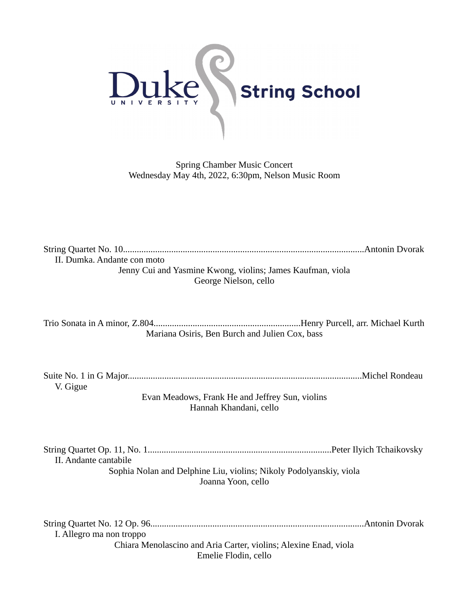

Spring Chamber Music Concert Wednesday May 4th, 2022, 6:30pm, Nelson Music Room

| II. Dumka. Andante con moto                                |  |
|------------------------------------------------------------|--|
| Jenny Cui and Yasmine Kwong, violins; James Kaufman, viola |  |
| George Nielson, cello                                      |  |

Trio Sonata in A minor, Z.804................................................................Henry Purcell, arr. Michael Kurth Mariana Osiris, Ben Burch and Julien Cox, bass

Suite No. 1 in G Major......................................................................................................Michel Rondeau V. Gigue

> Evan Meadows, Frank He and Jeffrey Sun, violins Hannah Khandani, cello

String Quartet Op. 11, No. 1................................................................................Peter Ilyich Tchaikovsky II. Andante cantabile Sophia Nolan and Delphine Liu, violins; Nikoly Podolyanskiy, viola Joanna Yoon, cello

String Quartet No. 12 Op. 96.............................................................................................Antonin Dvorak I. Allegro ma non troppo Chiara Menolascino and Aria Carter, violins; Alexine Enad, viola Emelie Flodin, cello